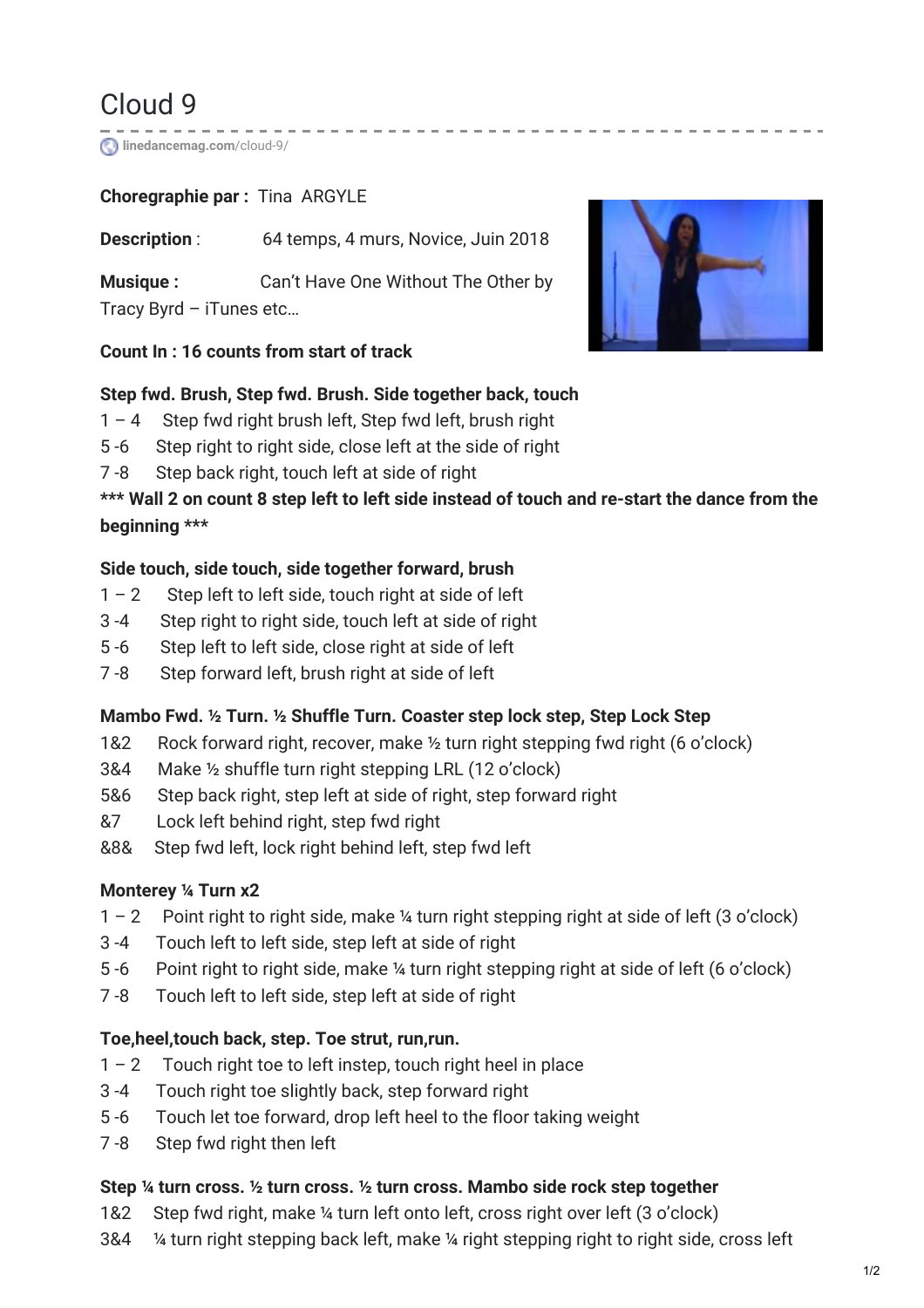# Cloud 9

**[linedancemag.com](https://www.linedancemag.com/cloud-9/)**/cloud-9/

# **Choregraphie par :** Tina ARGYLE

**Description**: 64 temps, 4 murs, Novice, Juin 2018

**Musique :** Can't Have One Without The Other by Tracy Byrd – iTunes etc…



#### **Count In : 16 counts from start of track**

## **Step fwd. Brush, Step fwd. Brush. Side together back, touch**

- 1 4 Step fwd right brush left, Step fwd left, brush right
- 5 -6 Step right to right side, close left at the side of right
- 7 -8 Step back right, touch left at side of right

# \*\*\* Wall 2 on count 8 step left to left side instead of touch and re-start the dance from the **beginning \*\*\***

## **Side touch, side touch, side together forward, brush**

- $1 2$  Step left to left side, touch right at side of left
- 3 -4 Step right to right side, touch left at side of right
- 5 -6 Step left to left side, close right at side of left
- 7 -8 Step forward left, brush right at side of left

# **Mambo Fwd. ½ Turn. ½ Shuffle Turn. Coaster step lock step, Step Lock Step**

- 1&2 Rock forward right, recover, make ½ turn right stepping fwd right (6 o'clock)
- 3&4 Make ½ shuffle turn right stepping LRL (12 o'clock)
- 5&6 Step back right, step left at side of right, step forward right
- &7 Lock left behind right, step fwd right
- &8& Step fwd left, lock right behind left, step fwd left

# **Monterey ¼ Turn x2**

- 1 2 Point right to right side, make ¼ turn right stepping right at side of left (3 o'clock)
- 3 -4 Touch left to left side, step left at side of right
- 5 -6 Point right to right side, make ¼ turn right stepping right at side of left (6 o'clock)
- 7 -8 Touch left to left side, step left at side of right

# **Toe,heel,touch back, step. Toe strut, run,run.**

- $1 2$  Touch right toe to left instep, touch right heel in place
- 3 -4 Touch right toe slightly back, step forward right
- 5 -6 Touch let toe forward, drop left heel to the floor taking weight
- 7 -8 Step fwd right then left

#### **Step ¼ turn cross. ½ turn cross. ½ turn cross. Mambo side rock step together**

- 1&2 Step fwd right, make ¼ turn left onto left, cross right over left (3 o'clock)
- 3&4 ¼ turn right stepping back left, make ¼ right stepping right to right side, cross left